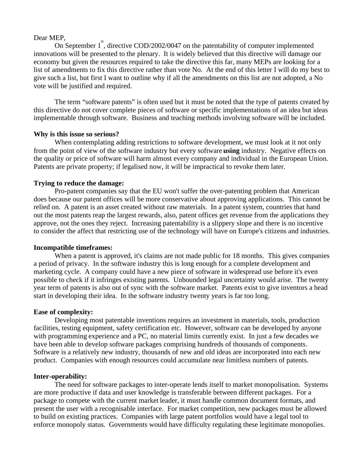### Dear MEP,

On September 1 st , directive COD/2002/0047 on the patentability of computer implemented innovations will be presented to the plenary. It is widely believed that this directive will damage our economy but given the resources required to take the directive this far, many MEPs are looking for a list of amendments to fix this directive rather than vote No. At the end of this letter I will do my best to give such a list, but first I want to outline why if all the amendments on this list are not adopted, a No vote will be justified and required.

The term "software patents" is often used but it must be noted that the type of patents created by this directive do not cover complete pieces of software or specific implementations of an idea but ideas implementable through software. Business and teaching methods involving software will be included.

## **Why is this issue so serious?**

When contemplating adding restrictions to software development, we must look at it not only from the point of view of the software industry but every software **using** industry. Negative effects on the quality or price of software will harm almost every company and individual in the European Union. Patents are private property; if legalised now, it will be impractical to revoke them later.

# **Trying to reduce the damage:**

Pro-patent companies say that the EU won't suffer the over-patenting problem that American does because our patent offices will be more conservative about approving applications. This cannot be relied on. A patent is an asset created without raw materials. In a patent system, countries that hand out the most patents reap the largest rewards, also, patent offices get revenue from the applications they approve, not the ones they reject. Increasing patentability is a slippery slope and there is no incentive to consider the affect that restricting use of the technology will have on Europe's citizens and industries.

### **Incompatible timeframes:**

When a patent is approved, it's claims are not made public for 18 months. This gives companies a period of privacy. In the software industry this is long enough for a complete development and marketing cycle. A company could have a new piece of software in widespread use before it's even possible to check if it infringes existing patents. Unbounded legal uncertainty would arise. The twenty year term of patents is also out of sync with the software market. Patents exist to give inventors a head start in developing their idea. In the software industry twenty years is far too long.

# **Ease of complexity:**

Developing most patentable inventions requires an investment in materials, tools, production facilities, testing equipment, safety certification etc. However, software can be developed by anyone with programming experience and a PC, no material limits currently exist. In just a few decades we have been able to develop software packages comprising hundreds of thousands of components. Software is a relatively new industry, thousands of new and old ideas are incorporated into each new product. Companies with enough resources could accumulate near limitless numbers of patents.

### **Inter-operability:**

The need for software packages to inter-operate lends itself to market monopolisation. Systems are more productive if data and user knowledge is transferable between different packages. For a package to compete with the current market leader, it must handle common document formats, and present the user with a recognisable interface. For market competition, new packages must be allowed to build on existing practices. Companies with large patent portfolios would have a legal tool to enforce monopoly status. Governments would have difficulty regulating these legitimate monopolies.